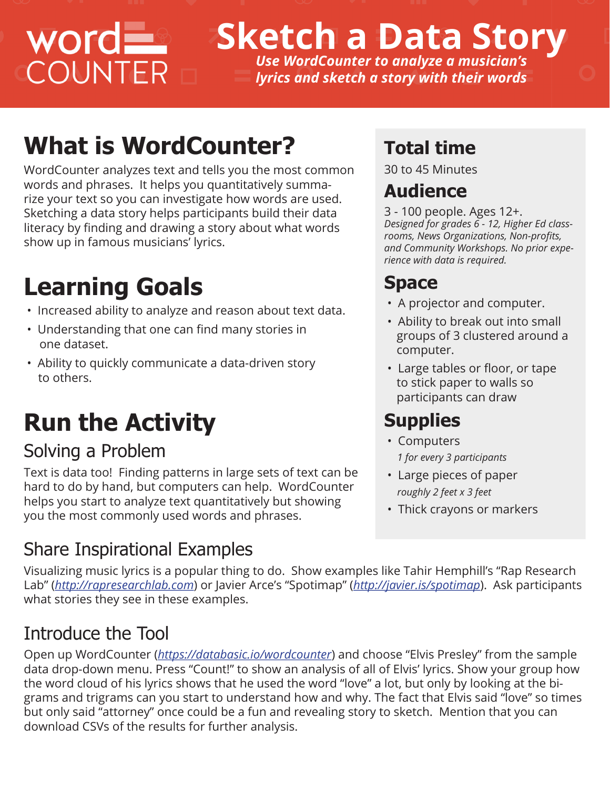# WOrd

## **Sketch a Data Story** *Use WordCounter to analyze a musician's*

*lyrics and sketch a story with their words*

## **What is WordCounter?**

WordCounter analyzes text and tells you the most common words and phrases. It helps you quantitatively summarize your text so you can investigate how words are used. Sketching a data story helps participants build their data literacy by finding and drawing a story about what words show up in famous musicians' lyrics.

### **Learning Goals**

- Increased ability to analyze and reason about text data.
- Understanding that one can find many stories in one dataset.
- Ability to quickly communicate a data-driven story to others.

## **Run the Activity**

#### Solving a Problem

Text is data too! Finding patterns in large sets of text can be hard to do by hand, but computers can help. WordCounter helps you start to analyze text quantitatively but showing you the most commonly used words and phrases.

#### Share Inspirational Examples

#### **Total time**

30 to 45 Minutes

#### **Audience**

3 - 100 people. Ages 12+. *Designed for grades 6 - 12, Higher Ed classrooms, News Organizations, Non-profts, and Community Workshops. No prior experience with data is required.* 

#### **Space**

- A projector and computer.
- Ability to break out into small groups of 3 clustered around a computer.
- Large tables or floor, or tape to stick paper to walls so participants can draw

#### **Supplies**

- Computers  *1 for every 3 participants*
- Large pieces of paper  *roughly 2 feet x 3 feet*
- Thick crayons or markers

Visualizing music lyrics is a popular thing to do. Show examples like Tahir Hemphill's "Rap Research Lab" (*http://rapresearchlab.com*) or Javier Arce's "Spotimap" (*http://javier.is/spotimap*). Ask participants what stories they see in these examples.

#### Introduce the Tool

Open up WordCounter (*https://databasic.io/wordcounter*) and choose "Elvis Presley" from the sample data drop-down menu. Press "Count!" to show an analysis of all of Elvis' lyrics. Show your group how the word cloud of his lyrics shows that he used the word "love" a lot, but only by looking at the bigrams and trigrams can you start to understand how and why. The fact that Elvis said "love" so times but only said "attorney" once could be a fun and revealing story to sketch. Mention that you can download CSVs of the results for further analysis.